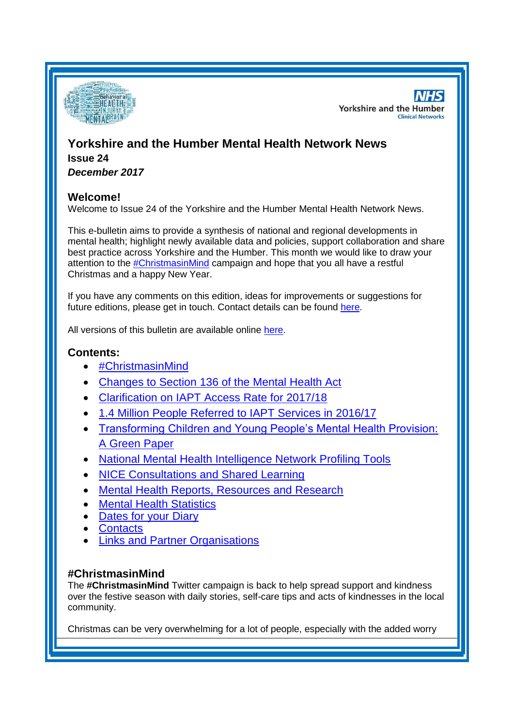

**NHS Yorkshire and the Humber Clinical Networks** 

# **Yorkshire and the Humber Mental Health Network News Issue 24**

*December 2017*

# **Welcome!**

Welcome to Issue 24 of the Yorkshire and the Humber Mental Health Network News.

This e-bulletin aims to provide a synthesis of national and regional developments in mental health; highlight newly available data and policies, support collaboration and share best practice across Yorkshire and the Humber. This month we would like to draw your attention to the [#ChristmasinMind](#page-0-0) campaign and hope that you all have a restful Christmas and a happy New Year.

If you have any comments on this edition, ideas for improvements or suggestions for future editions, please get in touch. Contact details can be found [here.](#page-5-0)

All versions of this bulletin are available online [here.](http://www.yhscn.nhs.uk/mental-health-clinic/mental-health-network/MH-documents-and-links.php)

# **Contents:**

- [#ChristmasinMind](#page-0-0)
- [Changes to Section 136 of the Mental Health Act](#page-0-0)
- [Clarification on IAPT Access Rate for 2017/18](#page-0-0)
- [1.4 Million People Referred to IAPT Services in 2016/17](#page-1-0)
- [Transforming Children and Young People's Mental Health Provision:](#page-0-0)  [A Green Paper](#page-0-0)
- National Mental Health Intelligence Network Profiling Tools
- [NICE Consultations and Shared Learning](#page-2-0)
- [Mental Health Reports, Resources and Research](#page-0-1)
- **[Mental Health Statistics](#page-4-0)**
- [Dates for your Diary](#page-4-1)
- **[Contacts](#page-5-0)**
- [Links and Partner Organisations](#page-5-1)

# <span id="page-0-1"></span><span id="page-0-0"></span>**#ChristmasinMind**

The **#ChristmasinMind** Twitter campaign is back to help spread support and kindness over the festive season with daily stories, self-care tips and acts of kindnesses in the local community.

Christmas can be very overwhelming for a lot of people, especially with the added worry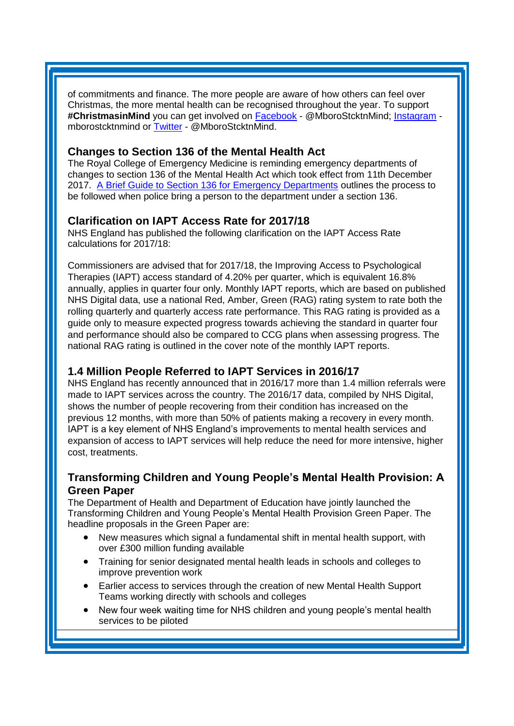of commitments and finance. The more people are aware of how others can feel over Christmas, the more mental health can be recognised throughout the year. To support #ChristmasinMind you can get involved on **[Facebook](https://www.time-to-change.org.uk/sites/all/modules/civicrm/extern/url.php?u=196123&qid=5359703)** - @MboroStcktnMind; [Instagram](https://www.time-to-change.org.uk/sites/all/modules/civicrm/extern/url.php?u=196124&qid=5359703) mborostcktnmind or [Twitter](https://www.time-to-change.org.uk/sites/all/modules/civicrm/extern/url.php?u=196125&qid=5359703) - @MboroStcktnMind.

# **Changes to Section 136 of the Mental Health Act**

The Royal College of Emergency Medicine is reminding emergency departments of changes to section 136 of the Mental Health Act which took effect from 11th December 2017. [A Brief Guide to Section 136 for Emergency Departments](http://www.rcem.ac.uk/RCEM/News/News_2017/Important_Changes_to_section_136_of_the_Mental_Health_Act.aspx) outlines the process to be followed when police bring a person to the department under a section 136.

# **Clarification on IAPT Access Rate for 2017/18**

NHS England has published the following clarification on the IAPT Access Rate calculations for 2017/18:

Commissioners are advised that for 2017/18, the Improving Access to Psychological Therapies (IAPT) access standard of 4.20% per quarter, which is equivalent 16.8% annually, applies in quarter four only. Monthly IAPT reports, which are based on published NHS Digital data, use a national Red, Amber, Green (RAG) rating system to rate both the rolling quarterly and quarterly access rate performance. This RAG rating is provided as a guide only to measure expected progress towards achieving the standard in quarter four and performance should also be compared to CCG plans when assessing progress. The national RAG rating is outlined in the cover note of the monthly IAPT reports.

# <span id="page-1-0"></span>**1.4 Million People Referred to IAPT Services in 2016/17**

NHS England has recently announced that in 2016/17 more than 1.4 million referrals were made to IAPT services across the country. The 2016/17 data, compiled by NHS Digital, shows the number of people recovering from their condition has increased on the previous 12 months, with more than 50% of patients making a recovery in every month. IAPT is a key element of NHS England's improvements to mental health services and expansion of access to IAPT services will help reduce the need for more intensive, higher cost, treatments.

# **Transforming Children and Young People's Mental Health Provision: A Green Paper**

The Department of Health and Department of Education have jointly launched the Transforming Children and Young People's Mental Health Provision Green Paper. The headline proposals in the Green Paper are:

- New measures which signal a fundamental shift in mental health support, with over £300 million funding available
- Training for senior designated mental health leads in schools and colleges to improve prevention work
- Earlier access to services through the creation of new Mental Health Support Teams working directly with schools and colleges
- New four week waiting time for NHS children and young people's mental health services to be piloted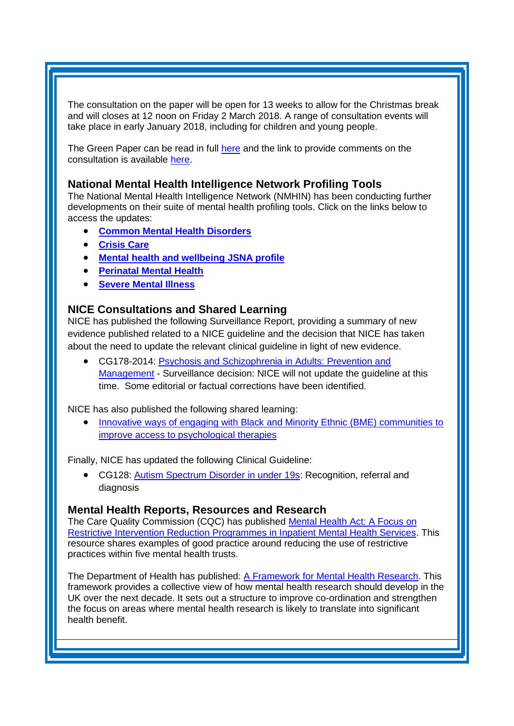The consultation on the paper will be open for 13 weeks to allow for the Christmas break and will closes at 12 noon on Friday 2 March 2018. A range of consultation events will take place in early January 2018, including for children and young people.

The Green Paper can be read in full [here](https://www.gov.uk/government/consultations/transforming-children-and-young-peoples-mental-health-provision-a-green-paper) and the link to provide comments on the consultation is available [here.](https://engage.dh.gov.uk/youngmentalhealth/)

### **National Mental Health Intelligence Network Profiling Tools**

The National Mental Health Intelligence Network (NMHIN) has been conducting further developments on their suite of mental health profiling tools. Click on the links below to access the updates:

- **[Common Mental Health Disorders](http://links.govdelivery.com/track?type=click&enid=ZWFzPTEmbXNpZD0mYXVpZD0mbWFpbGluZ2lkPTIwMTcxMjA1LjgxOTE2MDgxJm1lc3NhZ2VpZD1NREItUFJELUJVTC0yMDE3MTIwNS44MTkxNjA4MSZkYXRhYmFzZWlkPTEwMDEmc2VyaWFsPTE2OTcwMTE4JmVtYWlsaWQ9c2FyYWguYm91bEBuaHMubmV0JnVzZXJpZD1zYXJhaC5ib3VsQG5ocy5uZXQmdGFyZ2V0aWQ9JmZsPSZleHRyYT1NdWx0aXZhcmlhdGVJZD0mJiY=&&&104&&&https://fingertips.phe.org.uk/profile-group/mental-health/profile/common-mental-disorders)**
- **[Crisis Care](http://links.govdelivery.com/track?type=click&enid=ZWFzPTEmbXNpZD0mYXVpZD0mbWFpbGluZ2lkPTIwMTcxMjA1LjgxOTE2MDgxJm1lc3NhZ2VpZD1NREItUFJELUJVTC0yMDE3MTIwNS44MTkxNjA4MSZkYXRhYmFzZWlkPTEwMDEmc2VyaWFsPTE2OTcwMTE4JmVtYWlsaWQ9c2FyYWguYm91bEBuaHMubmV0JnVzZXJpZD1zYXJhaC5ib3VsQG5ocy5uZXQmdGFyZ2V0aWQ9JmZsPSZleHRyYT1NdWx0aXZhcmlhdGVJZD0mJiY=&&&105&&&https://fingertips.phe.org.uk/profile-group/mental-health/profile/crisis-care)**
- **[Mental health and wellbeing JSNA profile](http://links.govdelivery.com/track?type=click&enid=ZWFzPTEmbXNpZD0mYXVpZD0mbWFpbGluZ2lkPTIwMTcxMjA1LjgxOTE2MDgxJm1lc3NhZ2VpZD1NREItUFJELUJVTC0yMDE3MTIwNS44MTkxNjA4MSZkYXRhYmFzZWlkPTEwMDEmc2VyaWFsPTE2OTcwMTE4JmVtYWlsaWQ9c2FyYWguYm91bEBuaHMubmV0JnVzZXJpZD1zYXJhaC5ib3VsQG5ocy5uZXQmdGFyZ2V0aWQ9JmZsPSZleHRyYT1NdWx0aXZhcmlhdGVJZD0mJiY=&&&106&&&https://fingertips.phe.org.uk/profile-group/mental-health/profile/mh-jsna)**
- **[Perinatal Mental Health](http://links.govdelivery.com/track?type=click&enid=ZWFzPTEmbXNpZD0mYXVpZD0mbWFpbGluZ2lkPTIwMTcxMjA1LjgxOTE2MDgxJm1lc3NhZ2VpZD1NREItUFJELUJVTC0yMDE3MTIwNS44MTkxNjA4MSZkYXRhYmFzZWlkPTEwMDEmc2VyaWFsPTE2OTcwMTE4JmVtYWlsaWQ9c2FyYWguYm91bEBuaHMubmV0JnVzZXJpZD1zYXJhaC5ib3VsQG5ocy5uZXQmdGFyZ2V0aWQ9JmZsPSZleHRyYT1NdWx0aXZhcmlhdGVJZD0mJiY=&&&107&&&https://fingertips.phe.org.uk/profile-group/mental-health/profile/perinatal-mental-health)**
- **[Severe Mental Illness](http://links.govdelivery.com/track?type=click&enid=ZWFzPTEmbXNpZD0mYXVpZD0mbWFpbGluZ2lkPTIwMTcxMjA1LjgxOTE2MDgxJm1lc3NhZ2VpZD1NREItUFJELUJVTC0yMDE3MTIwNS44MTkxNjA4MSZkYXRhYmFzZWlkPTEwMDEmc2VyaWFsPTE2OTcwMTE4JmVtYWlsaWQ9c2FyYWguYm91bEBuaHMubmV0JnVzZXJpZD1zYXJhaC5ib3VsQG5ocy5uZXQmdGFyZ2V0aWQ9JmZsPSZleHRyYT1NdWx0aXZhcmlhdGVJZD0mJiY=&&&108&&&https://fingertips.phe.org.uk/profile-group/mental-health/profile/severe-mental-illness)**

### <span id="page-2-0"></span>**NICE Consultations and Shared Learning**

NICE has published the following Surveillance Report, providing a summary of new evidence published related to a NICE guideline and the decision that NICE has taken about the need to update the relevant clinical guideline in light of new evidence.

• CG178-2014: Psychosis and Schizophrenia in Adults: Prevention and [Management](https://www.nice.org.uk/guidance/cg178/resources/surveillance-report-2017-psychosis-and-schizophrenia-in-adults-prevention-and-management-2014-nice-guideline-cg178-4661271325/chapter/Surveillance-decision?tab=evidence&utm_source=Surveillance+report+alerts&utm_campaign=943f71839d-EMAIL_CAMPAIGN_2017_11_17&utm_medium=email&utm_term=0_e232b91fb2-943f71839d-169540553) - Surveillance decision: NICE will not update the guideline at this time. Some editorial or factual corrections have been identified.

NICE has also published the following shared learning:

 [Innovative ways of engaging with Black and Minority Ethnic \(BME\) communities to](https://www.nice.org.uk/sharedlearning/innovative-ways-of-engaging-with-black-and-minority-ethnic-bme-communities-to-improve-access-to-psychological-therapies)  [improve access to psychological therapies](https://www.nice.org.uk/sharedlearning/innovative-ways-of-engaging-with-black-and-minority-ethnic-bme-communities-to-improve-access-to-psychological-therapies)

Finally, NICE has updated the following Clinical Guideline:

• CG128: [Autism Spectrum Disorder in under 19s:](https://www.nice.org.uk/guidance/cg128) Recognition, referral and diagnosis

#### **Mental Health Reports, Resources and Research**

The Care Quality Commission (CQC) has published [Mental Health Act: A Focus on](http://www.cqc.org.uk/publications/themed-work/mental-health-act-restrictive-intervention-reduction-programmes)  [Restrictive Intervention Reduction Programmes in Inpatient Mental Health Services.](http://www.cqc.org.uk/publications/themed-work/mental-health-act-restrictive-intervention-reduction-programmes) This resource shares examples of good practice around reducing the use of restrictive practices within five mental health trusts.

The Department of Health has published: [A Framework for Mental Health Research.](https://www.gov.uk/government/publications/a-framework-for-mental-health-research) This framework provides a collective view of how mental health research should develop in the UK over the next decade. It sets out a structure to improve co-ordination and strengthen the focus on areas where mental health research is likely to translate into significant health benefit.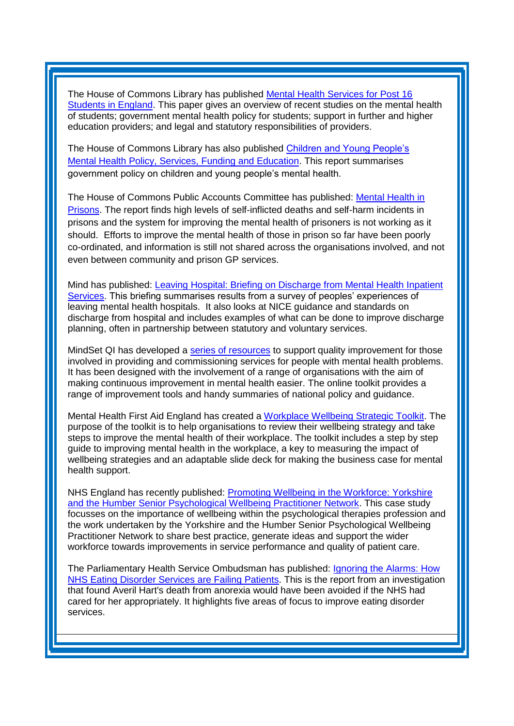The House of Commons Library has published [Mental Health Services for Post 16](http://researchbriefings.parliament.uk/ResearchBriefing/Summary/CBP-8163)  [Students in England.](http://researchbriefings.parliament.uk/ResearchBriefing/Summary/CBP-8163) This paper gives an overview of recent studies on the mental health of students; government mental health policy for students; support in further and higher education providers; and legal and statutory responsibilities of providers.

The House of Commons Library has also published [Children and Young People's](http://researchbriefings.parliament.uk/ResearchBriefing/Summary/CBP-7196)  [Mental Health Policy, Services, Funding and Education.](http://researchbriefings.parliament.uk/ResearchBriefing/Summary/CBP-7196) This report summarises government policy on children and young people's mental health.

The House of Commons Public Accounts Committee has published: [Mental Health in](http://www.parliament.uk/business/committees/committees-a-z/commons-select/public-accounts-committee/news-parliament-2017/mental-health-prisons-report-published-17-19/)  [Prisons.](http://www.parliament.uk/business/committees/committees-a-z/commons-select/public-accounts-committee/news-parliament-2017/mental-health-prisons-report-published-17-19/) The report finds high levels of self-inflicted deaths and self-harm incidents in prisons and the system for improving the mental health of prisoners is not working as it should. Efforts to improve the mental health of those in prison so far have been poorly co-ordinated, and information is still not shared across the organisations involved, and not even between community and prison GP services.

Mind has published: [Leaving Hospital: Briefing on Discharge from Mental Health Inpatient](https://www.mind.org.uk/media/18839049/leaving-hospital-minds-good-practice-briefing.pdf)  [Services.](https://www.mind.org.uk/media/18839049/leaving-hospital-minds-good-practice-briefing.pdf) This briefing summarises results from a survey of peoples' experiences of leaving mental health hospitals. It also looks at NICE guidance and standards on discharge from hospital and includes examples of what can be done to improve discharge planning, often in partnership between statutory and voluntary services.

MindSet QI has developed a [series of resources](http://mindsetqi.net/) to support quality improvement for those involved in providing and commissioning services for people with mental health problems. It has been designed with the involvement of a range of organisations with the aim of making continuous improvement in mental health easier. The online toolkit provides a range of improvement tools and handy summaries of national policy and guidance.

Mental Health First Aid England has created a [Workplace Wellbeing Strategic Toolkit.](https://mhfaengland.org/mhfa-centre/campaigns/wmhd17/?_cldee=c2FyYWguYm91bEBuaHMubmV0&recipientid=contact-0ed3a36e03f0e61180f3c4346bad10a0-f880ded41d224fd9a0187dbf0d9139f1&esid=45909343-14d9-e711-8120-e0071b664191&urlid=9) The purpose of the toolkit is to help organisations to review their wellbeing strategy and take steps to improve the mental health of their workplace. The toolkit includes a step by step guide to improving mental health in the workplace, a key to measuring the impact of wellbeing strategies and an adaptable slide deck for making the business case for mental health support.

NHS England has recently published: [Promoting Wellbeing in the Workforce: Yorkshire](https://www.england.nhs.uk/mental-health/case-studies/promoting-wellbeing-in-the-workforce-yorkshire-and-the-humber-senior-psychological-wellbeing-practitioner-network/)  [and the Humber Senior Psychological Wellbeing Practitioner Network.](https://www.england.nhs.uk/mental-health/case-studies/promoting-wellbeing-in-the-workforce-yorkshire-and-the-humber-senior-psychological-wellbeing-practitioner-network/) This case study focusses on the importance of wellbeing within the psychological therapies profession and the work undertaken by the Yorkshire and the Humber Senior Psychological Wellbeing Practitioner Network to share best practice, generate ideas and support the wider workforce towards improvements in service performance and quality of patient care.

The Parliamentary Health Service Ombudsman has published: [Ignoring the Alarms: How](https://www.ombudsman.org.uk/publications/ignoring-alarms-how-nhs-eating-disorder-services-are-failing-patients)  [NHS Eating Disorder Services are Failing Patients.](https://www.ombudsman.org.uk/publications/ignoring-alarms-how-nhs-eating-disorder-services-are-failing-patients) This is the report from an investigation that found Averil Hart's death from anorexia would have been avoided if the NHS had cared for her appropriately. It highlights five areas of focus to improve eating disorder services.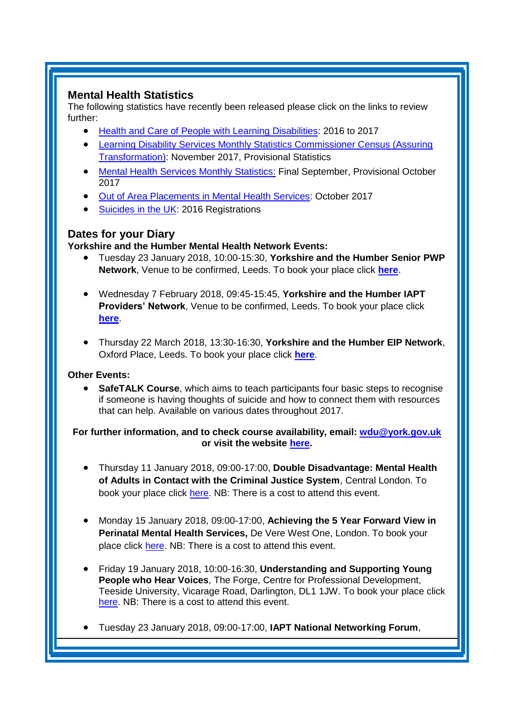# <span id="page-4-0"></span>**Mental Health Statistics**

The following statistics have recently been released please click on the links to review further:

- <span id="page-4-1"></span>• [Health and Care of People with Learning Disabilities:](https://digital.nhs.uk/catalogue/PUB30167) 2016 to 2017
- [Learning Disability Services Monthly Statistics Commissioner Census \(Assuring](https://digital.nhs.uk/catalogue/PUB30176)  [Transformation\):](https://digital.nhs.uk/catalogue/PUB30176) November 2017, Provisional Statistics
- [Mental Health Services Monthly Statistics:](https://digital.nhs.uk/catalogue/PUB30177) Final September, Provisional October 2017
- [Out of Area Placements in Mental Health Services:](https://digital.nhs.uk/catalogue/PUB30181) October 2017
- [Suicides in](https://www.ons.gov.uk/releases/suicidesintheuk2016registrations) the UK: 2016 Registrations

# **Dates for your Diary**

#### **Yorkshire and the Humber Mental Health Network Events:**

- Tuesday 23 January 2018, 10:00-15:30, **Yorkshire and the Humber Senior PWP Network**, Venue to be confirmed, Leeds. To book your place click **[here](https://www.eventbrite.co.uk/e/yorkshire-and-the-humber-senior-pwp-network-tickets-39836631437)**.
- Wednesday 7 February 2018, 09:45-15:45, **Yorkshire and the Humber IAPT Providers' Network**, Venue to be confirmed, Leeds. To book your place click **[here](https://www.eventbrite.co.uk/e/yorkshire-and-the-humber-iapt-providers-network-tickets-39836845076)**.
- Thursday 22 March 2018, 13:30-16:30, **Yorkshire and the Humber EIP Network**, Oxford Place, Leeds. To book your place click **[here](https://www.eventbrite.co.uk/e/yorkshire-and-the-humber-eip-network-tickets-39657862735)**.

### **Other Events:**

 **SafeTALK Course**, which aims to teach participants four basic steps to recognise if someone is having thoughts of suicide and how to connect them with resources that can help. Available on various dates throughout 2017.

#### **For further information, and to check course availability, email: [wdu@york.gov.uk](mailto:wdu@york.gov.uk) or visit the website [here.](http://www.yorkworkforcedevelopment.org.uk/)**

- Thursday 11 January 2018, 09:00-17:00, **Double Disadvantage: Mental Health of Adults in Contact with the Criminal Justice System**, Central London. To book your place click [here.](https://www.publicpolicyexchange.co.uk/book.php?event=IA11-PPE&ss=em&tg=1c) NB: There is a cost to attend this event.
- Monday 15 January 2018, 09:00-17:00, **Achieving the 5 Year Forward View in Perinatal Mental Health Services,** De Vere West One, London. To book your place click [here.](http://www.behindthelabel.co.uk/YP-voices2018/) NB: There is a cost to attend this event.
- Friday 19 January 2018, 10:00-16:30, **Understanding and Supporting Young People who Hear Voices**, The Forge, Centre for Professional Development, Teeside University, Vicarage Road, Darlington, DL1 1JW. To book your place click [here.](https://www.healthcareconferencesuk.co.uk/event/1081/book) NB: There is a cost to attend this event.
- Tuesday 23 January 2018, 09:00-17:00, **IAPT National Networking Forum**,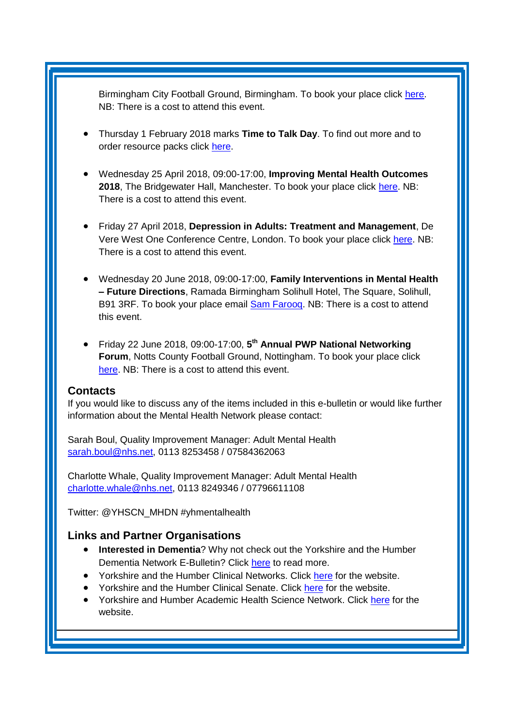Birmingham City Football Ground, Birmingham. To book your place click [here.](http://www.iapt-nnf.co.uk/booking/index/77/?utm_source=SBK%20Healthcare&utm_medium=email&utm_campaign=8639184_1801PT%201st%20email&dm_i=1SB0,5561C,MCTTTA,JQX1K,1) NB: There is a cost to attend this event.

- Thursday 1 February 2018 marks **Time to Talk Day**. To find out more and to order resource packs click [here.](https://www.time-to-change.org.uk/get-involved/time-talk-day-2018?_cldee=c2FyYWguYm91bEBuaHMubmV0&recipientid=contact-0ed3a36e03f0e61180f3c4346bad10a0-f880ded41d224fd9a0187dbf0d9139f1&esid=45909343-14d9-e711-8120-e0071b664191&urlid=58)
- Wednesday 25 April 2018, 09:00-17:00, **Improving Mental Health Outcomes 2018**, The Bridgewater Hall, Manchester. To book your place click [here.](https://openforumevents.co.uk/events/2018/improving-mental-health-outcomes-integrating-coordinating-and-transforming-services/?utm_source=OFE+S3.1+MH18+WC+27.11.17+&utm_medium=email&utm_campaign=OFE+S3.1+MH18+WC+27.11.17) NB: There is a cost to attend this event.
- Friday 27 April 2018, **Depression in Adults: Treatment and Management**, De Vere West One Conference Centre, London. To book your place click [here.](https://www.healthcareconferencesuk.co.uk/event/1347/book) NB: There is a cost to attend this event.
- Wednesday 20 June 2018, 09:00-17:00, **Family Interventions in Mental Health – Future Directions**, Ramada Birmingham Solihull Hotel, The Square, Solihull, B91 3RF. To book your place email **Sam Farooq**. NB: There is a cost to attend this event.
- Friday 22 June 2018, 09:00-17:00, **5 th Annual PWP National Networking Forum, Notts County Football Ground, Nottingham. To book your place click** [here.](http://www.iapt-nnf.co.uk/Home/ViewEvent/87?utm_source=SBK%20Healthcare&utm_medium=email&utm_campaign=8995560_1856PT%201st%20email&dm_i=1SB0,5CT0O,MCTTTA,KP5GK,1) NB: There is a cost to attend this event.

#### <span id="page-5-0"></span>**Contacts**

If you would like to discuss any of the items included in this e-bulletin or would like further information about the Mental Health Network please contact:

Sarah Boul, Quality Improvement Manager: Adult Mental Health [sarah.boul@nhs.net,](mailto:sarah.boul@nhs.net) 0113 8253458 / 07584362063

Charlotte Whale, Quality Improvement Manager: Adult Mental Health [charlotte.whale@nhs.net,](mailto:charlotte.whale@nhs.net) 0113 8249346 / 07796611108

Twitter: @YHSCN\_MHDN #yhmentalhealth

### <span id="page-5-1"></span>**Links and Partner Organisations**

- **Interested in Dementia**? Why not check out the Yorkshire and the Humber Dementia Network E-Bulletin? Click [here](http://www.yhscn.nhs.uk/mental-health-clinic/Dementia/YHSCNDementiaBulletin.php) to read more.
- Yorkshire and the Humber Clinical Networks. Click [here](http://www.yhscn.nhs.uk/index.php) for the website.
- Yorkshire and the Humber Clinical Senate. Click [here](http://www.yhsenate.nhs.uk/index.php) for the website.
- Yorkshire and Humber Academic Health Science Network. Click [here](http://www.yhahsn.org.uk/) for the website.